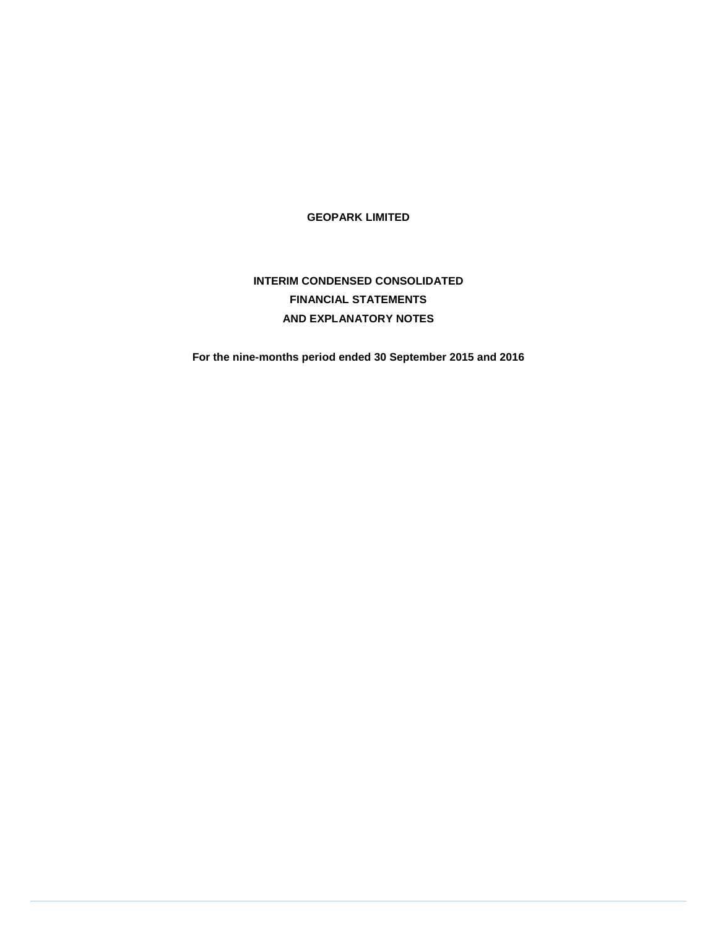**GEOPARK LIMITED** 

# **INTERIM CONDENSED CONSOLIDATED FINANCIAL STATEMENTS AND EXPLANATORY NOTES**

**For the nine-months period ended 30 September 2015 and 2016**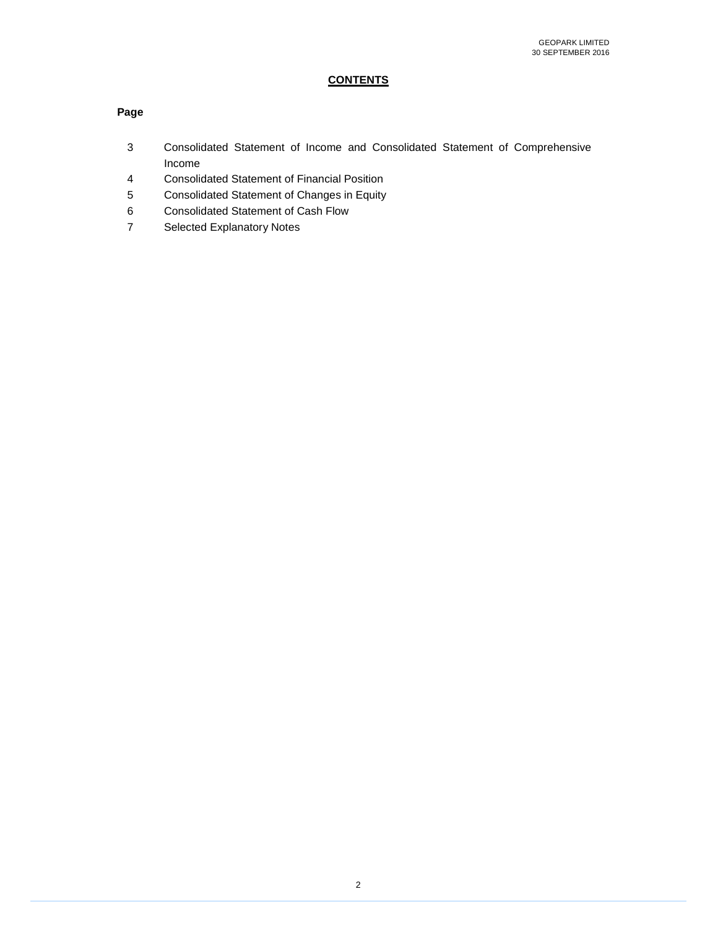# **CONTENTS**

### **Page**

- 3 Consolidated Statement of Income and Consolidated Statement of Comprehensive Income
- 4 Consolidated Statement of Financial Position
- 5 Consolidated Statement of Changes in Equity
- 6 Consolidated Statement of Cash Flow
- 7 Selected Explanatory Notes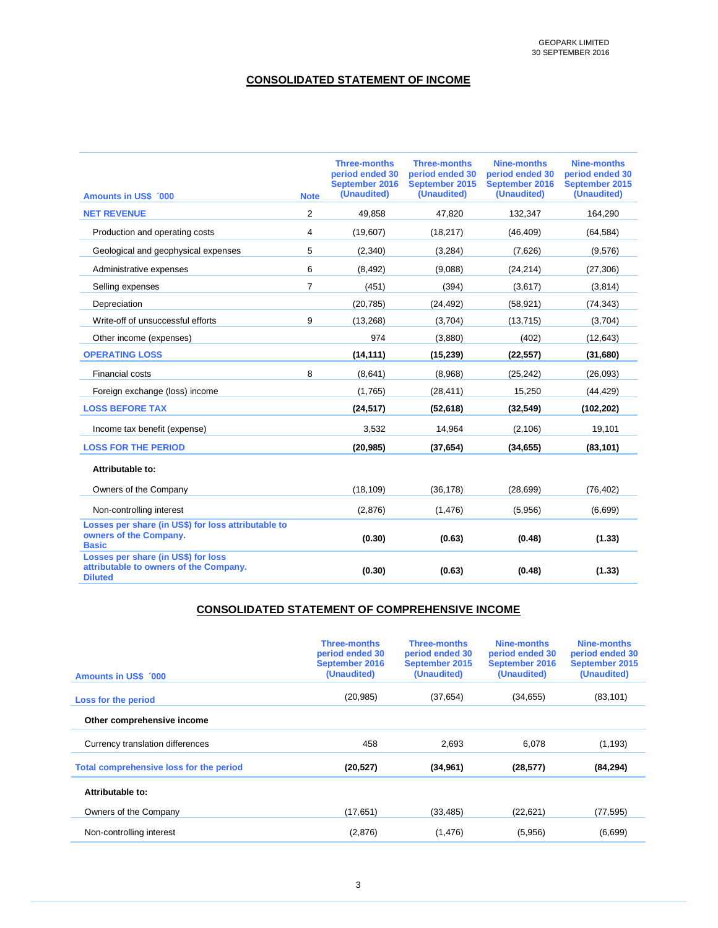### **CONSOLIDATED STATEMENT OF INCOME**

| <b>Amounts in US\$ 000</b>                                                                      | <b>Note</b>    | <b>Three-months</b><br>period ended 30<br>September 2016<br>(Unaudited) | <b>Three-months</b><br>period ended 30<br>September 2015<br>(Unaudited) | Nine-months<br>period ended 30<br>September 2016<br>(Unaudited) | Nine-months<br>period ended 30<br>September 2015<br>(Unaudited) |
|-------------------------------------------------------------------------------------------------|----------------|-------------------------------------------------------------------------|-------------------------------------------------------------------------|-----------------------------------------------------------------|-----------------------------------------------------------------|
| <b>NET REVENUE</b>                                                                              | $\overline{2}$ | 49,858                                                                  | 47,820                                                                  | 132,347                                                         | 164,290                                                         |
| Production and operating costs                                                                  | 4              | (19,607)                                                                | (18, 217)                                                               | (46, 409)                                                       | (64, 584)                                                       |
| Geological and geophysical expenses                                                             | 5              | (2,340)                                                                 | (3,284)                                                                 | (7,626)                                                         | (9,576)                                                         |
| Administrative expenses                                                                         | 6              | (8, 492)                                                                | (9,088)                                                                 | (24, 214)                                                       | (27, 306)                                                       |
| Selling expenses                                                                                | $\overline{7}$ | (451)                                                                   | (394)                                                                   | (3,617)                                                         | (3,814)                                                         |
| Depreciation                                                                                    |                | (20, 785)                                                               | (24, 492)                                                               | (58, 921)                                                       | (74, 343)                                                       |
| Write-off of unsuccessful efforts                                                               | 9              | (13, 268)                                                               | (3,704)                                                                 | (13, 715)                                                       | (3,704)                                                         |
| Other income (expenses)                                                                         |                | 974                                                                     | (3,880)                                                                 | (402)                                                           | (12, 643)                                                       |
| <b>OPERATING LOSS</b>                                                                           |                | (14, 111)                                                               | (15, 239)                                                               | (22, 557)                                                       | (31, 680)                                                       |
| <b>Financial costs</b>                                                                          | 8              | (8,641)                                                                 | (8,968)                                                                 | (25, 242)                                                       | (26,093)                                                        |
| Foreign exchange (loss) income                                                                  |                | (1,765)                                                                 | (28, 411)                                                               | 15,250                                                          | (44, 429)                                                       |
| <b>LOSS BEFORE TAX</b>                                                                          |                | (24, 517)                                                               | (52, 618)                                                               | (32, 549)                                                       | (102, 202)                                                      |
| Income tax benefit (expense)                                                                    |                | 3,532                                                                   | 14,964                                                                  | (2, 106)                                                        | 19,101                                                          |
| <b>LOSS FOR THE PERIOD</b>                                                                      |                | (20, 985)                                                               | (37, 654)                                                               | (34, 655)                                                       | (83, 101)                                                       |
| Attributable to:                                                                                |                |                                                                         |                                                                         |                                                                 |                                                                 |
| Owners of the Company                                                                           |                | (18, 109)                                                               | (36, 178)                                                               | (28, 699)                                                       | (76, 402)                                                       |
| Non-controlling interest                                                                        |                | (2,876)                                                                 | (1, 476)                                                                | (5,956)                                                         | (6,699)                                                         |
| Losses per share (in US\$) for loss attributable to<br>owners of the Company.<br><b>Basic</b>   |                | (0.30)                                                                  | (0.63)                                                                  | (0.48)                                                          | (1.33)                                                          |
| Losses per share (in US\$) for loss<br>attributable to owners of the Company.<br><b>Diluted</b> |                | (0.30)                                                                  | (0.63)                                                                  | (0.48)                                                          | (1.33)                                                          |

### **CONSOLIDATED STATEMENT OF COMPREHENSIVE INCOME**

| <b>Amounts in US\$ 000</b>              | <b>Three-months</b><br>period ended 30<br>September 2016<br>(Unaudited) | <b>Three-months</b><br>period ended 30<br>September 2015<br>(Unaudited) | Nine-months<br>period ended 30<br>September 2016<br>(Unaudited) | Nine-months<br>period ended 30<br>September 2015<br>(Unaudited) |
|-----------------------------------------|-------------------------------------------------------------------------|-------------------------------------------------------------------------|-----------------------------------------------------------------|-----------------------------------------------------------------|
| Loss for the period                     | (20, 985)                                                               | (37, 654)                                                               | (34, 655)                                                       | (83, 101)                                                       |
| Other comprehensive income              |                                                                         |                                                                         |                                                                 |                                                                 |
| Currency translation differences        | 458                                                                     | 2,693                                                                   | 6,078                                                           | (1, 193)                                                        |
| Total comprehensive loss for the period | (20, 527)                                                               | (34, 961)                                                               | (28, 577)                                                       | (84, 294)                                                       |
| Attributable to:                        |                                                                         |                                                                         |                                                                 |                                                                 |
| Owners of the Company                   | (17,651)                                                                | (33, 485)                                                               | (22, 621)                                                       | (77, 595)                                                       |
| Non-controlling interest                | (2,876)                                                                 | (1, 476)                                                                | (5,956)                                                         | (6,699)                                                         |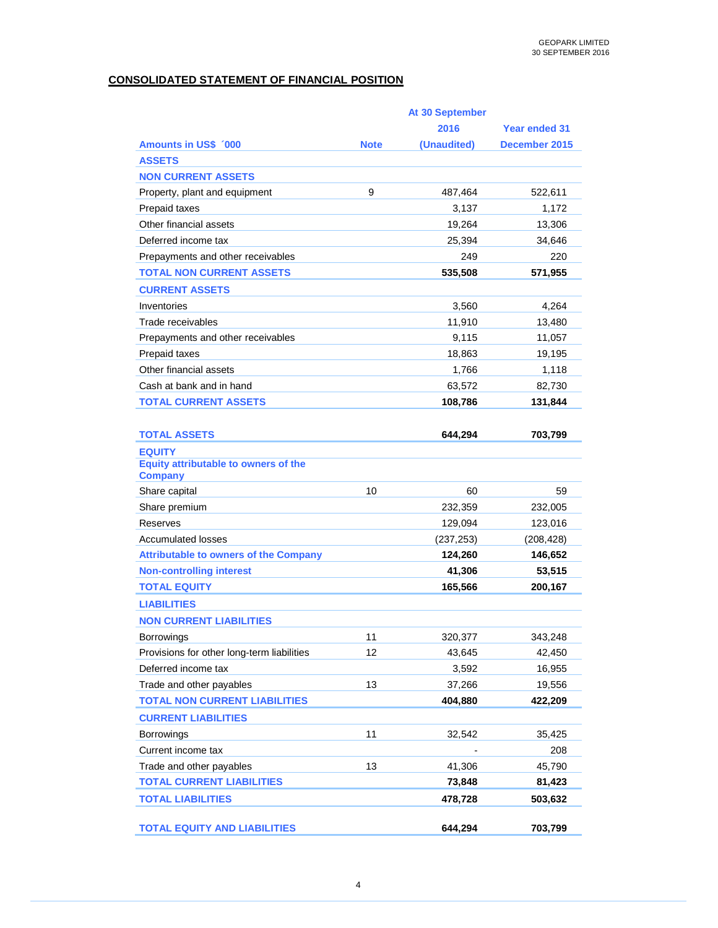### **CONSOLIDATED STATEMENT OF FINANCIAL POSITION**

|                                                        | At 30 September |             |                      |  |  |
|--------------------------------------------------------|-----------------|-------------|----------------------|--|--|
|                                                        |                 | 2016        | <b>Year ended 31</b> |  |  |
| <b>Amounts in US\$ '000</b>                            | <b>Note</b>     | (Unaudited) | December 2015        |  |  |
| <b>ASSETS</b>                                          |                 |             |                      |  |  |
| <b>NON CURRENT ASSETS</b>                              |                 |             |                      |  |  |
| Property, plant and equipment                          | 9               | 487,464     | 522,611              |  |  |
| Prepaid taxes                                          |                 | 3,137       | 1,172                |  |  |
| Other financial assets                                 |                 | 19,264      | 13,306               |  |  |
| Deferred income tax                                    |                 | 25,394      | 34,646               |  |  |
| Prepayments and other receivables                      |                 | 249         | 220                  |  |  |
| <b>TOTAL NON CURRENT ASSETS</b>                        |                 | 535,508     | 571,955              |  |  |
| <b>CURRENT ASSETS</b>                                  |                 |             |                      |  |  |
| Inventories                                            |                 | 3,560       | 4,264                |  |  |
| Trade receivables                                      |                 | 11,910      | 13,480               |  |  |
| Prepayments and other receivables                      |                 | 9,115       | 11,057               |  |  |
| Prepaid taxes                                          |                 | 18,863      | 19,195               |  |  |
| Other financial assets                                 |                 | 1,766       | 1,118                |  |  |
| Cash at bank and in hand                               |                 | 63,572      | 82,730               |  |  |
| <b>TOTAL CURRENT ASSETS</b>                            |                 | 108,786     | 131,844              |  |  |
|                                                        |                 |             |                      |  |  |
| <b>TOTAL ASSETS</b>                                    |                 | 644,294     | 703,799              |  |  |
| <b>EQUITY</b>                                          |                 |             |                      |  |  |
| Equity attributable to owners of the<br><b>Company</b> |                 |             |                      |  |  |
| Share capital                                          | 10              | 60          | 59                   |  |  |
| Share premium                                          |                 | 232,359     | 232,005              |  |  |
| Reserves                                               |                 | 129,094     | 123,016              |  |  |
| <b>Accumulated losses</b>                              |                 | (237, 253)  | (208, 428)           |  |  |
| <b>Attributable to owners of the Company</b>           |                 | 124,260     | 146,652              |  |  |
| <b>Non-controlling interest</b>                        |                 | 41,306      | 53,515               |  |  |
| <b>TOTAL EQUITY</b>                                    |                 | 165,566     | 200,167              |  |  |
| <b>LIABILITIES</b>                                     |                 |             |                      |  |  |
| <b>NON CURRENT LIABILITIES</b>                         |                 |             |                      |  |  |
| <b>Borrowings</b>                                      | 11              | 320,377     | 343,248              |  |  |
| Provisions for other long-term liabilities             | 12              | 43,645      | 42,450               |  |  |
| Deferred income tax                                    |                 | 3,592       | 16,955               |  |  |
| Trade and other payables                               | 13              | 37,266      | 19,556               |  |  |
| <b>TOTAL NON CURRENT LIABILITIES</b>                   |                 | 404,880     | 422,209              |  |  |
| <b>CURRENT LIABILITIES</b>                             |                 |             |                      |  |  |
| Borrowings                                             | 11              | 32,542      | 35,425               |  |  |
| Current income tax                                     |                 |             | 208                  |  |  |
| Trade and other payables                               | 13              | 41,306      | 45,790               |  |  |
| <b>TOTAL CURRENT LIABILITIES</b>                       |                 | 73,848      | 81,423               |  |  |
| <b>TOTAL LIABILITIES</b>                               |                 | 478,728     | 503,632              |  |  |
|                                                        |                 |             |                      |  |  |
| <b>TOTAL EQUITY AND LIABILITIES</b>                    |                 | 644,294     | 703,799              |  |  |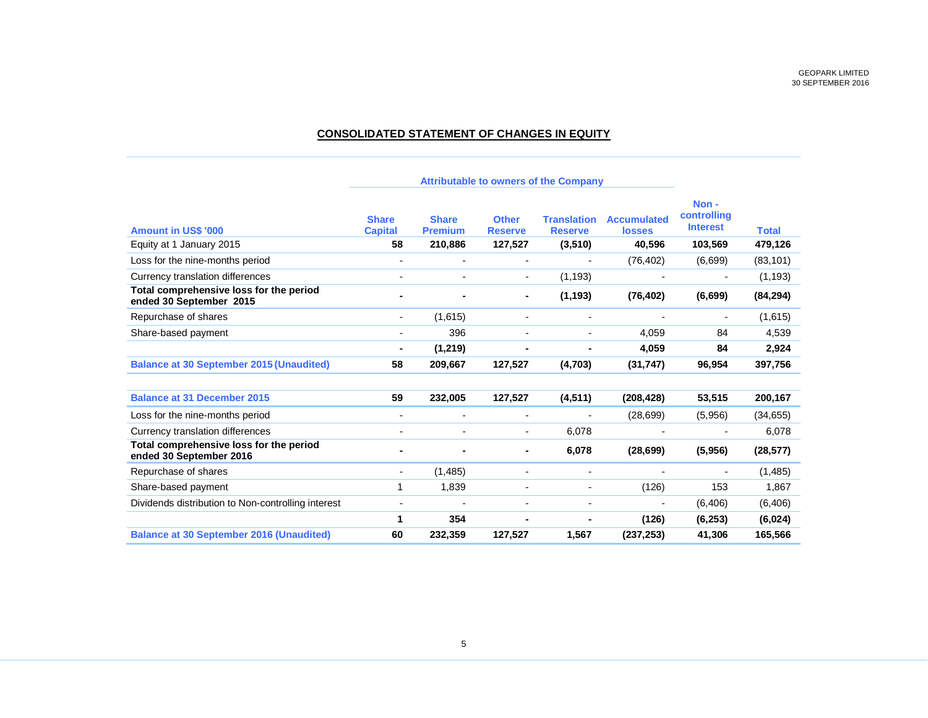# **CONSOLIDATED STATEMENT OF CHANGES IN EQUITY**

|                                                                    | <b>Attributable to owners of the Company</b> |                                |                                |                                      |                                     |                                        |              |
|--------------------------------------------------------------------|----------------------------------------------|--------------------------------|--------------------------------|--------------------------------------|-------------------------------------|----------------------------------------|--------------|
| <b>Amount in US\$ '000</b>                                         | <b>Share</b><br><b>Capital</b>               | <b>Share</b><br><b>Premium</b> | <b>Other</b><br><b>Reserve</b> | <b>Translation</b><br><b>Reserve</b> | <b>Accumulated</b><br><b>losses</b> | Non-<br>controlling<br><b>Interest</b> | <b>Total</b> |
| Equity at 1 January 2015                                           | 58                                           | 210.886                        | 127,527                        | (3,510)                              | 40,596                              | 103,569                                | 479,126      |
| Loss for the nine-months period                                    | $\overline{\phantom{0}}$                     | $\blacksquare$                 | $\blacksquare$                 |                                      | (76, 402)                           | (6,699)                                | (83, 101)    |
| Currency translation differences                                   |                                              |                                | $\overline{\phantom{a}}$       | (1, 193)                             |                                     |                                        | (1, 193)     |
| Total comprehensive loss for the period<br>ended 30 September 2015 | ۰                                            |                                | ٠                              | (1, 193)                             | (76, 402)                           | (6, 699)                               | (84, 294)    |
| Repurchase of shares                                               | ٠                                            | (1,615)                        | $\blacksquare$                 | $\blacksquare$                       |                                     |                                        | (1,615)      |
| Share-based payment                                                | $\overline{\phantom{0}}$                     | 396                            |                                |                                      | 4,059                               | 84                                     | 4,539        |
|                                                                    | $\blacksquare$                               | (1, 219)                       |                                | $\blacksquare$                       | 4,059                               | 84                                     | 2,924        |
| <b>Balance at 30 September 2015 (Unaudited)</b>                    | 58                                           | 209,667                        | 127,527                        | (4,703)                              | (31, 747)                           | 96,954                                 | 397,756      |
| <b>Balance at 31 December 2015</b>                                 | 59                                           | 232,005                        | 127,527                        | (4, 511)                             | (208, 428)                          | 53,515                                 | 200,167      |
| Loss for the nine-months period                                    | Ξ.                                           | $\overline{\phantom{a}}$       | $\overline{\phantom{a}}$       |                                      | (28, 699)                           | (5,956)                                | (34, 655)    |
| Currency translation differences                                   | $\overline{\phantom{0}}$                     |                                | $\blacksquare$                 | 6.078                                |                                     |                                        | 6,078        |
| Total comprehensive loss for the period<br>ended 30 September 2016 |                                              |                                |                                | 6,078                                | (28, 699)                           | (5,956)                                | (28, 577)    |
| Repurchase of shares                                               | ٠                                            | (1, 485)                       | $\blacksquare$                 | $\blacksquare$                       | $\overline{\phantom{0}}$            | $\overline{\phantom{0}}$               | (1, 485)     |
| Share-based payment                                                | 1                                            | 1,839                          |                                |                                      | (126)                               | 153                                    | 1,867        |
| Dividends distribution to Non-controlling interest                 |                                              |                                |                                |                                      |                                     | (6, 406)                               | (6, 406)     |
|                                                                    | 1                                            | 354                            |                                |                                      | (126)                               | (6, 253)                               | (6,024)      |
| <b>Balance at 30 September 2016 (Unaudited)</b>                    | 60                                           | 232,359                        | 127,527                        | 1,567                                | (237, 253)                          | 41,306                                 | 165,566      |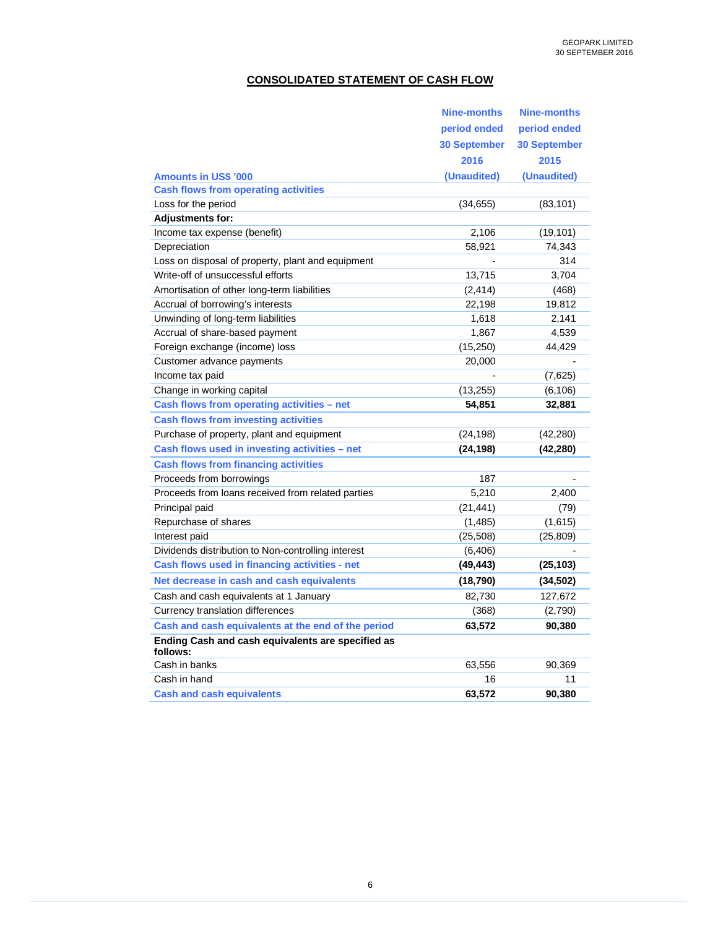### **CONSOLIDATED STATEMENT OF CASH FLOW**

|                                                               | Nine-months         | <b>Nine-months</b>  |
|---------------------------------------------------------------|---------------------|---------------------|
|                                                               | period ended        | period ended        |
|                                                               | <b>30 September</b> | <b>30 September</b> |
|                                                               | 2016                | 2015                |
| <b>Amounts in US\$ '000</b>                                   | (Unaudited)         | (Unaudited)         |
| <b>Cash flows from operating activities</b>                   |                     |                     |
| Loss for the period                                           | (34, 655)           | (83, 101)           |
| <b>Adjustments for:</b>                                       |                     |                     |
| Income tax expense (benefit)                                  | 2,106               | (19, 101)           |
| Depreciation                                                  | 58,921              | 74,343              |
| Loss on disposal of property, plant and equipment             |                     | 314                 |
| Write-off of unsuccessful efforts                             | 13,715              | 3,704               |
| Amortisation of other long-term liabilities                   | (2, 414)            | (468)               |
| Accrual of borrowing's interests                              | 22,198              | 19,812              |
| Unwinding of long-term liabilities                            | 1,618               | 2,141               |
| Accrual of share-based payment                                | 1,867               | 4,539               |
| Foreign exchange (income) loss                                | (15, 250)           | 44,429              |
| Customer advance payments                                     | 20,000              |                     |
| Income tax paid                                               |                     | (7,625)             |
| Change in working capital                                     | (13, 255)           | (6, 106)            |
| Cash flows from operating activities - net                    | 54,851              | 32,881              |
| <b>Cash flows from investing activities</b>                   |                     |                     |
| Purchase of property, plant and equipment                     | (24, 198)           | (42, 280)           |
| Cash flows used in investing activities - net                 | (24, 198)           | (42, 280)           |
| <b>Cash flows from financing activities</b>                   |                     |                     |
| Proceeds from borrowings                                      | 187                 |                     |
| Proceeds from loans received from related parties             | 5.210               | 2,400               |
| Principal paid                                                | (21, 441)           | (79)                |
| Repurchase of shares                                          | (1,485)             | (1,615)             |
| Interest paid                                                 | (25,508)            | (25, 809)           |
| Dividends distribution to Non-controlling interest            | (6, 406)            |                     |
| Cash flows used in financing activities - net                 | (49, 443)           | (25, 103)           |
| Net decrease in cash and cash equivalents                     | (18,790)            | (34, 502)           |
| Cash and cash equivalents at 1 January                        | 82,730              | 127,672             |
| Currency translation differences                              | (368)               | (2,790)             |
| Cash and cash equivalents at the end of the period            | 63,572              | 90,380              |
| Ending Cash and cash equivalents are specified as<br>follows: |                     |                     |
| Cash in banks                                                 | 63,556              | 90,369              |
| Cash in hand                                                  | 16                  | 11                  |
| <b>Cash and cash equivalents</b>                              | 63.572              | 90.380              |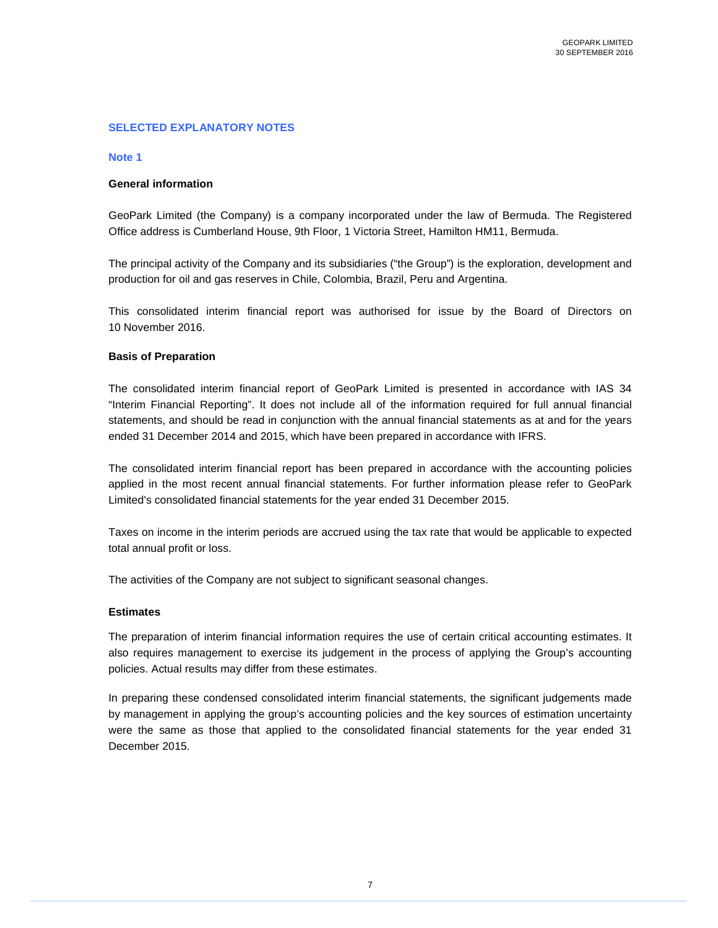### **SELECTED EXPLANATORY NOTES**

#### **Note 1**

### **General information**

GeoPark Limited (the Company) is a company incorporated under the law of Bermuda. The Registered Office address is Cumberland House, 9th Floor, 1 Victoria Street, Hamilton HM11, Bermuda.

The principal activity of the Company and its subsidiaries ("the Group") is the exploration, development and production for oil and gas reserves in Chile, Colombia, Brazil, Peru and Argentina.

This consolidated interim financial report was authorised for issue by the Board of Directors on 10 November 2016.

#### **Basis of Preparation**

The consolidated interim financial report of GeoPark Limited is presented in accordance with IAS 34 "Interim Financial Reporting". It does not include all of the information required for full annual financial statements, and should be read in conjunction with the annual financial statements as at and for the years ended 31 December 2014 and 2015, which have been prepared in accordance with IFRS.

The consolidated interim financial report has been prepared in accordance with the accounting policies applied in the most recent annual financial statements. For further information please refer to GeoPark Limited's consolidated financial statements for the year ended 31 December 2015.

Taxes on income in the interim periods are accrued using the tax rate that would be applicable to expected total annual profit or loss.

The activities of the Company are not subject to significant seasonal changes.

#### **Estimates**

The preparation of interim financial information requires the use of certain critical accounting estimates. It also requires management to exercise its judgement in the process of applying the Group's accounting policies. Actual results may differ from these estimates.

In preparing these condensed consolidated interim financial statements, the significant judgements made by management in applying the group's accounting policies and the key sources of estimation uncertainty were the same as those that applied to the consolidated financial statements for the year ended 31 December 2015.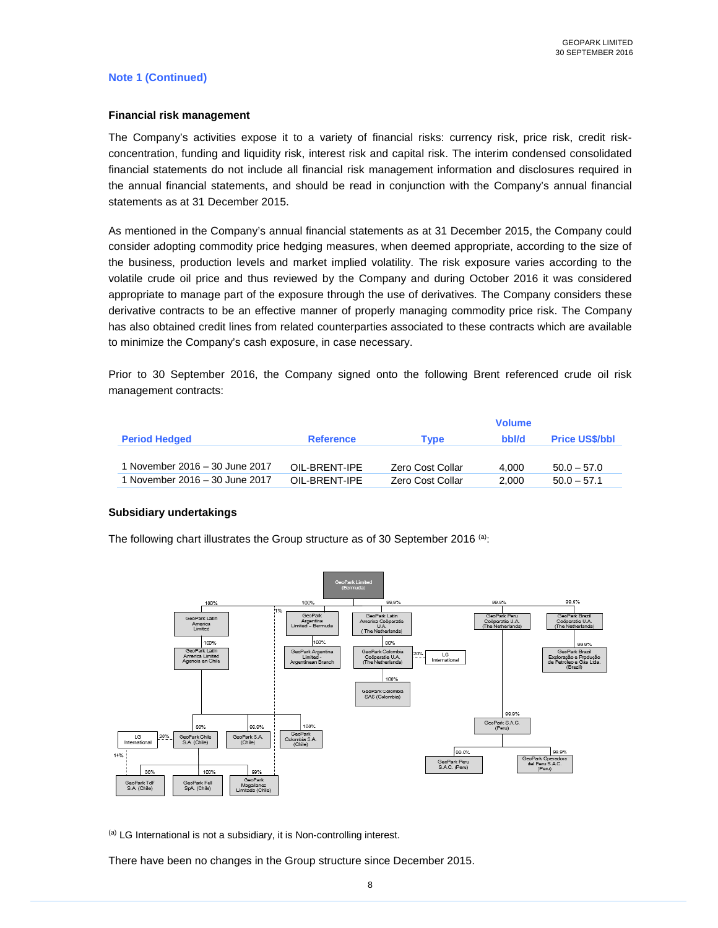### **Note 1 (Continued)**

#### **Financial risk management**

The Company's activities expose it to a variety of financial risks: currency risk, price risk, credit riskconcentration, funding and liquidity risk, interest risk and capital risk. The interim condensed consolidated financial statements do not include all financial risk management information and disclosures required in the annual financial statements, and should be read in conjunction with the Company's annual financial statements as at 31 December 2015.

As mentioned in the Company's annual financial statements as at 31 December 2015, the Company could consider adopting commodity price hedging measures, when deemed appropriate, according to the size of the business, production levels and market implied volatility. The risk exposure varies according to the volatile crude oil price and thus reviewed by the Company and during October 2016 it was considered appropriate to manage part of the exposure through the use of derivatives. The Company considers these derivative contracts to be an effective manner of properly managing commodity price risk. The Company has also obtained credit lines from related counterparties associated to these contracts which are available to minimize the Company's cash exposure, in case necessary.

Prior to 30 September 2016, the Company signed onto the following Brent referenced crude oil risk management contracts:

|                                |                  |                  | <b>Volume</b> |                       |
|--------------------------------|------------------|------------------|---------------|-----------------------|
| <b>Period Hedged</b>           | <b>Reference</b> | <b>Type</b>      | bbl/d         | <b>Price US\$/bbl</b> |
|                                |                  |                  |               |                       |
| 1 November 2016 – 30 June 2017 | OII-BRENT-IPE    | Zero Cost Collar | 4.000         | $50.0 - 57.0$         |
| 1 November 2016 – 30 June 2017 | OII-BRENT-IPE    | Zero Cost Collar | 2.000         | $50.0 - 57.1$         |

### **Subsidiary undertakings**

The following chart illustrates the Group structure as of 30 September 2016 <sup>(a)</sup>:



(a) LG International is not a subsidiary, it is Non-controlling interest.

There have been no changes in the Group structure since December 2015.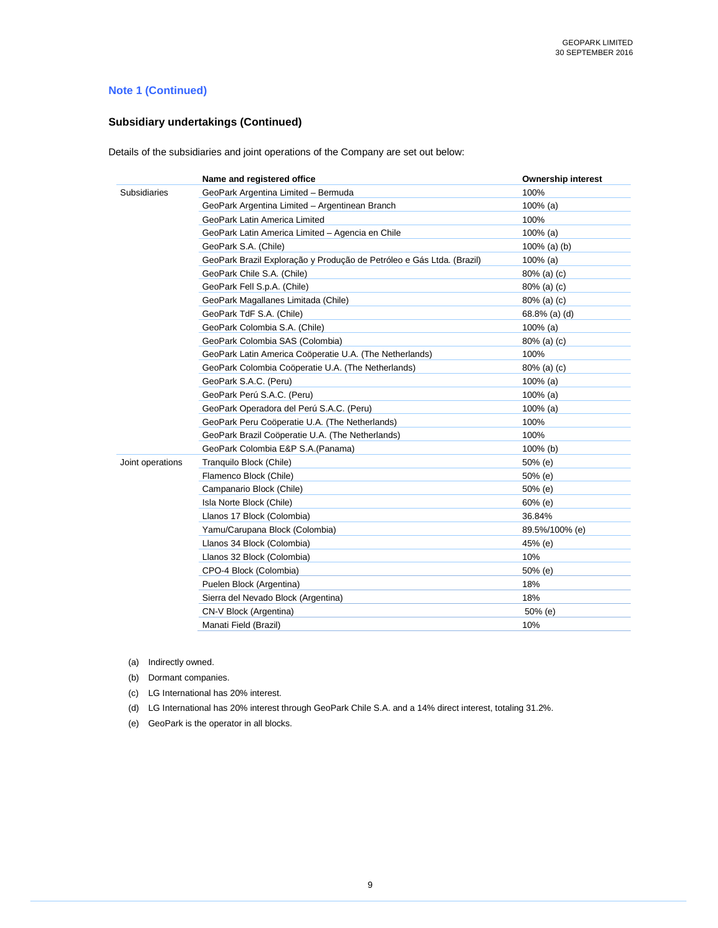# **Note 1 (Continued)**

# **Subsidiary undertakings (Continued)**

Details of the subsidiaries and joint operations of the Company are set out below:

|                  | Name and registered office                                            | <b>Ownership interest</b> |
|------------------|-----------------------------------------------------------------------|---------------------------|
| Subsidiaries     | GeoPark Argentina Limited - Bermuda                                   | 100%                      |
|                  | GeoPark Argentina Limited - Argentinean Branch                        | $100\%$ (a)               |
|                  | GeoPark Latin America Limited                                         | 100%                      |
|                  | GeoPark Latin America Limited - Agencia en Chile                      | $100\%$ (a)               |
|                  | GeoPark S.A. (Chile)                                                  | 100% (a) (b)              |
|                  | GeoPark Brazil Exploração y Produção de Petróleo e Gás Ltda. (Brazil) | $100\%$ (a)               |
|                  | GeoPark Chile S.A. (Chile)                                            | $80\%$ (a) (c)            |
|                  | GeoPark Fell S.p.A. (Chile)                                           | 80% (a) (c)               |
|                  | GeoPark Magallanes Limitada (Chile)                                   | $80\%$ (a) (c)            |
|                  | GeoPark TdF S.A. (Chile)                                              | 68.8% (a) (d)             |
|                  | GeoPark Colombia S.A. (Chile)                                         | $100\%$ (a)               |
|                  | GeoPark Colombia SAS (Colombia)                                       | $80\%$ (a) (c)            |
|                  | GeoPark Latin America Coöperatie U.A. (The Netherlands)               | 100%                      |
|                  | GeoPark Colombia Coöperatie U.A. (The Netherlands)                    | $80\%$ (a) (c)            |
|                  | GeoPark S.A.C. (Peru)                                                 | $100\%$ (a)               |
|                  | GeoPark Perú S.A.C. (Peru)                                            | $100\%$ (a)               |
|                  | GeoPark Operadora del Perú S.A.C. (Peru)                              | $100\%$ (a)               |
|                  | GeoPark Peru Coöperatie U.A. (The Netherlands)                        | 100%                      |
|                  | GeoPark Brazil Coöperatie U.A. (The Netherlands)                      | 100%                      |
|                  | GeoPark Colombia E&P S.A.(Panama)                                     | 100% (b)                  |
| Joint operations | Tranquilo Block (Chile)                                               | 50% (e)                   |
|                  | Flamenco Block (Chile)                                                | 50% (e)                   |
|                  | Campanario Block (Chile)                                              | 50% (e)                   |
|                  | Isla Norte Block (Chile)                                              | $60%$ (e)                 |
|                  | Llanos 17 Block (Colombia)                                            | 36.84%                    |
|                  | Yamu/Carupana Block (Colombia)                                        | 89.5%/100% (e)            |
|                  | Llanos 34 Block (Colombia)                                            | 45% (e)                   |
|                  | Llanos 32 Block (Colombia)                                            | 10%                       |
|                  | CPO-4 Block (Colombia)                                                | 50% (e)                   |
|                  | Puelen Block (Argentina)                                              | 18%                       |
|                  | Sierra del Nevado Block (Argentina)                                   | 18%                       |
|                  | CN-V Block (Argentina)                                                | 50% (e)                   |
|                  | Manati Field (Brazil)                                                 | 10%                       |

(a) Indirectly owned.

(b) Dormant companies.

(c) LG International has 20% interest.

(d) LG International has 20% interest through GeoPark Chile S.A. and a 14% direct interest, totaling 31.2%.

(e) GeoPark is the operator in all blocks.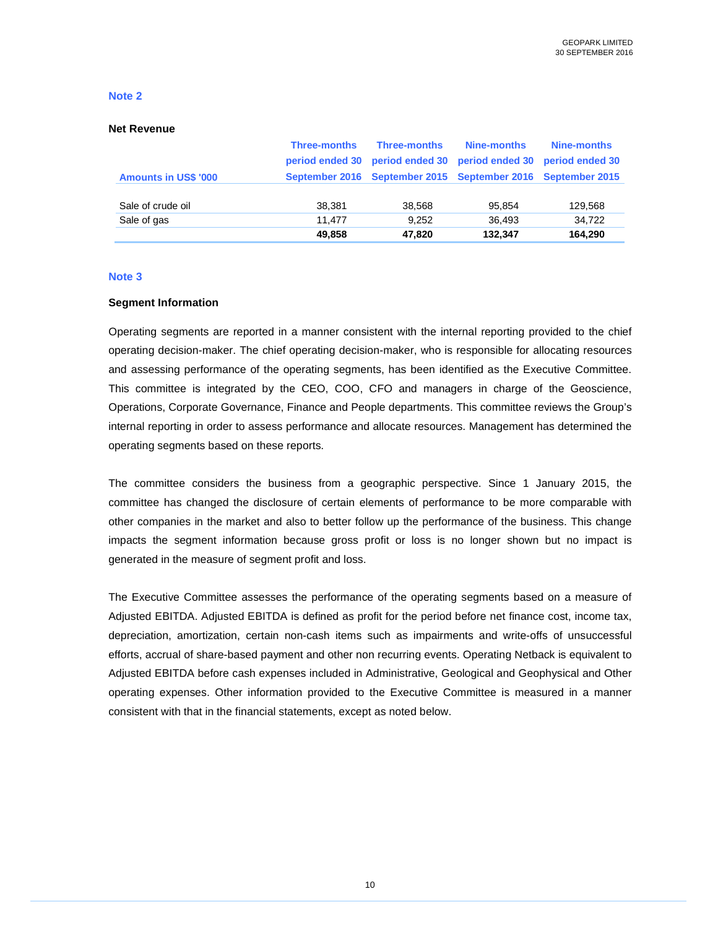#### **Net Revenue**

|                             | <b>Three-months</b> | Three-months                                                | Nine-months                                     | Nine-months |
|-----------------------------|---------------------|-------------------------------------------------------------|-------------------------------------------------|-------------|
|                             | period ended 30     |                                                             | period ended 30 period ended 30 period ended 30 |             |
| <b>Amounts in US\$ '000</b> |                     | September 2016 September 2015 September 2016 September 2015 |                                                 |             |
|                             |                     |                                                             |                                                 |             |
| Sale of crude oil           | 38.381              | 38,568                                                      | 95.854                                          | 129,568     |
| Sale of gas                 | 11.477              | 9.252                                                       | 36.493                                          | 34.722      |
|                             | 49,858              | 47,820                                                      | 132,347                                         | 164.290     |

#### **Note 3**

### **Segment Information**

Operating segments are reported in a manner consistent with the internal reporting provided to the chief operating decision-maker. The chief operating decision-maker, who is responsible for allocating resources and assessing performance of the operating segments, has been identified as the Executive Committee. This committee is integrated by the CEO, COO, CFO and managers in charge of the Geoscience, Operations, Corporate Governance, Finance and People departments. This committee reviews the Group's internal reporting in order to assess performance and allocate resources. Management has determined the operating segments based on these reports.

The committee considers the business from a geographic perspective. Since 1 January 2015, the committee has changed the disclosure of certain elements of performance to be more comparable with other companies in the market and also to better follow up the performance of the business. This change impacts the segment information because gross profit or loss is no longer shown but no impact is generated in the measure of segment profit and loss.

The Executive Committee assesses the performance of the operating segments based on a measure of Adjusted EBITDA. Adjusted EBITDA is defined as profit for the period before net finance cost, income tax, depreciation, amortization, certain non-cash items such as impairments and write-offs of unsuccessful efforts, accrual of share-based payment and other non recurring events. Operating Netback is equivalent to Adjusted EBITDA before cash expenses included in Administrative, Geological and Geophysical and Other operating expenses. Other information provided to the Executive Committee is measured in a manner consistent with that in the financial statements, except as noted below.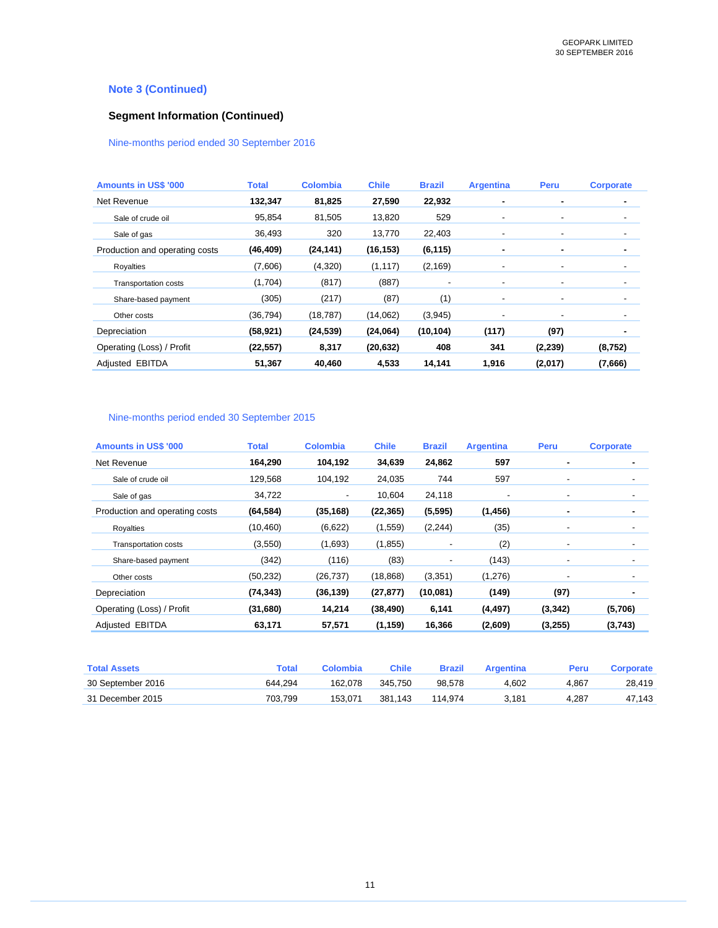# **Note 3 (Continued)**

# **Segment Information (Continued)**

### Nine-months period ended 30 September 2016

| <b>Amounts in US\$ '000</b>    | <b>Total</b> | <b>Colombia</b> | <b>Chile</b> | <b>Brazil</b> | <b>Argentina</b>         | Peru     | <b>Corporate</b> |
|--------------------------------|--------------|-----------------|--------------|---------------|--------------------------|----------|------------------|
| Net Revenue                    | 132,347      | 81,825          | 27,590       | 22,932        |                          | ۰        |                  |
| Sale of crude oil              | 95,854       | 81,505          | 13,820       | 529           | $\overline{\phantom{a}}$ | ٠        | ۰                |
| Sale of gas                    | 36,493       | 320             | 13,770       | 22,403        | $\overline{\phantom{a}}$ | ٠        | ۰                |
| Production and operating costs | (46, 409)    | (24, 141)       | (16, 153)    | (6, 115)      | ٠                        | ٠        |                  |
| Royalties                      | (7,606)      | (4,320)         | (1, 117)     | (2, 169)      | $\overline{\phantom{a}}$ | ٠        | ۰                |
| <b>Transportation costs</b>    | (1,704)      | (817)           | (887)        |               | $\overline{\phantom{a}}$ | ٠        | ٠                |
| Share-based payment            | (305)        | (217)           | (87)         | (1)           | $\overline{\phantom{a}}$ | ٠        | ۰                |
| Other costs                    | (36, 794)    | (18, 787)       | (14,062)     | (3,945)       |                          |          | ۰                |
| Depreciation                   | (58, 921)    | (24, 539)       | (24,064)     | (10, 104)     | (117)                    | (97)     |                  |
| Operating (Loss) / Profit      | (22, 557)    | 8,317           | (20, 632)    | 408           | 341                      | (2, 239) | (8,752)          |
| Adjusted EBITDA                | 51,367       | 40,460          | 4,533        | 14,141        | 1,916                    | (2,017)  | (7,666)          |

### Nine-months period ended 30 September 2015

| <b>Amounts in US\$ '000</b>    | <b>Total</b> | <b>Colombia</b>          | <b>Chile</b> | <b>Brazil</b>            | <b>Argentina</b> | Peru                     | <b>Corporate</b> |
|--------------------------------|--------------|--------------------------|--------------|--------------------------|------------------|--------------------------|------------------|
| Net Revenue                    | 164,290      | 104,192                  | 34,639       | 24,862                   | 597              |                          | ۰                |
| Sale of crude oil              | 129,568      | 104,192                  | 24,035       | 744                      | 597              | ۰                        |                  |
| Sale of gas                    | 34,722       | $\overline{\phantom{a}}$ | 10,604       | 24,118                   |                  | ٠                        |                  |
| Production and operating costs | (64, 584)    | (35, 168)                | (22, 365)    | (5,595)                  | (1, 456)         | ۰                        | ۰                |
| Royalties                      | (10, 460)    | (6,622)                  | (1,559)      | (2, 244)                 | (35)             | ٠                        | $\blacksquare$   |
| <b>Transportation costs</b>    | (3,550)      | (1,693)                  | (1,855)      | $\overline{\phantom{a}}$ | (2)              | ۰                        | $\blacksquare$   |
| Share-based payment            | (342)        | (116)                    | (83)         |                          | (143)            | $\overline{\phantom{a}}$ |                  |
| Other costs                    | (50, 232)    | (26, 737)                | (18, 868)    | (3,351)                  | (1,276)          | -                        | ٠                |
| Depreciation                   | (74, 343)    | (36, 139)                | (27, 877)    | (10,081)                 | (149)            | (97)                     | ٠                |
| Operating (Loss) / Profit      | (31,680)     | 14,214                   | (38, 490)    | 6,141                    | (4, 497)         | (3, 342)                 | (5,706)          |
| Adjusted EBITDA                | 63,171       | 57,571                   | (1, 159)     | 16,366                   | (2,609)          | (3,255)                  | (3,743)          |

| <b>Total Assets</b> | Total   | Colombia | Chile   | Brazil  | Arɑentina | Peru  | Corporate |
|---------------------|---------|----------|---------|---------|-----------|-------|-----------|
| 30 September 2016   | 644.294 | 162.078  | 345.750 | 98.578  | 4.602     | 4.867 | 28.419    |
| 31 December 2015    | 703.799 | 153.071  | 381.143 | 114.974 | 3.181     | 4.287 | 47.143    |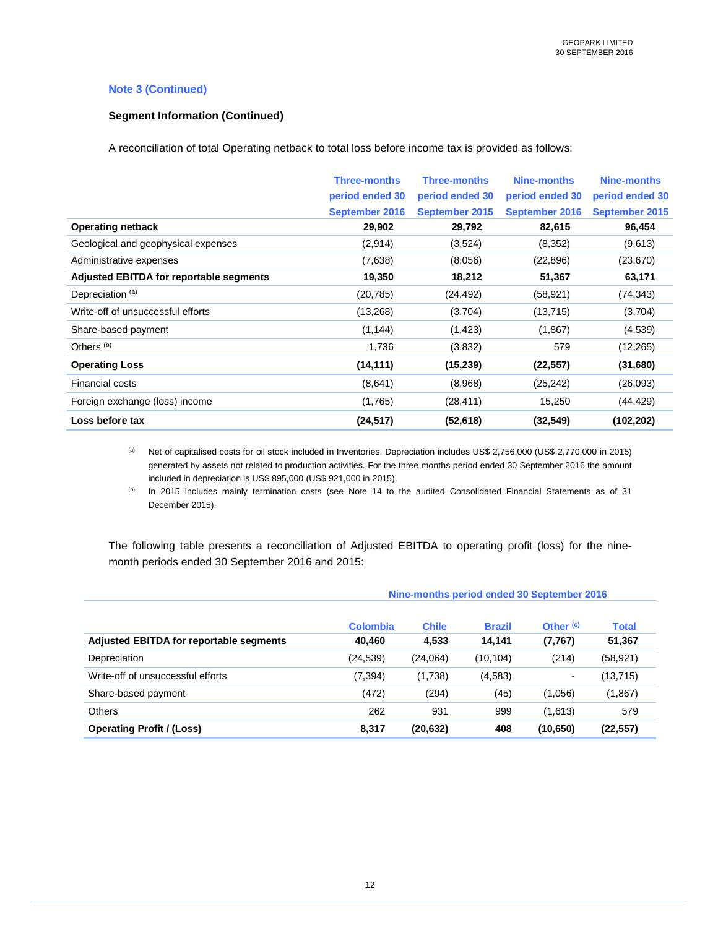### **Note 3 (Continued)**

### **Segment Information (Continued)**

A reconciliation of total Operating netback to total loss before income tax is provided as follows:

|                                                | <b>Three-months</b><br>period ended 30<br><b>September 2016</b> | <b>Three-months</b><br>period ended 30<br>September 2015 | <b>Nine-months</b><br>period ended 30<br><b>September 2016</b> | Nine-months<br>period ended 30<br>September 2015 |
|------------------------------------------------|-----------------------------------------------------------------|----------------------------------------------------------|----------------------------------------------------------------|--------------------------------------------------|
| <b>Operating netback</b>                       | 29,902                                                          | 29,792                                                   | 82,615                                                         | 96,454                                           |
| Geological and geophysical expenses            | (2,914)                                                         | (3,524)                                                  | (8,352)                                                        | (9,613)                                          |
| Administrative expenses                        | (7,638)                                                         | (8,056)                                                  | (22, 896)                                                      | (23, 670)                                        |
| <b>Adjusted EBITDA for reportable segments</b> | 19,350                                                          | 18,212                                                   | 51,367                                                         | 63,171                                           |
| Depreciation <sup>(a)</sup>                    | (20, 785)                                                       | (24, 492)                                                | (58, 921)                                                      | (74, 343)                                        |
| Write-off of unsuccessful efforts              | (13,268)                                                        | (3,704)                                                  | (13, 715)                                                      | (3,704)                                          |
| Share-based payment                            | (1, 144)                                                        | (1, 423)                                                 | (1,867)                                                        | (4,539)                                          |
| Others <sup>(b)</sup>                          | 1,736                                                           | (3,832)                                                  | 579                                                            | (12, 265)                                        |
| <b>Operating Loss</b>                          | (14, 111)                                                       | (15, 239)                                                | (22, 557)                                                      | (31,680)                                         |
| <b>Financial costs</b>                         | (8,641)                                                         | (8,968)                                                  | (25, 242)                                                      | (26,093)                                         |
| Foreign exchange (loss) income                 | (1,765)                                                         | (28, 411)                                                | 15,250                                                         | (44, 429)                                        |
| Loss before tax                                | (24, 517)                                                       | (52, 618)                                                | (32, 549)                                                      | (102, 202)                                       |

(a) Net of capitalised costs for oil stock included in Inventories. Depreciation includes US\$ 2,756,000 (US\$ 2,770,000 in 2015) generated by assets not related to production activities. For the three months period ended 30 September 2016 the amount included in depreciation is US\$ 895,000 (US\$ 921,000 in 2015).

(b) In 2015 includes mainly termination costs (see Note 14 to the audited Consolidated Financial Statements as of 31 December 2015).

The following table presents a reconciliation of Adjusted EBITDA to operating profit (loss) for the ninemonth periods ended 30 September 2016 and 2015:

| Adjusted EBITDA for reportable segments | <b>Colombia</b><br>40.460 | <b>Chile</b><br>4,533 | <b>Brazil</b><br>14.141 | Other <sup>(c)</sup><br>(7,767) | <b>Total</b><br>51,367 |
|-----------------------------------------|---------------------------|-----------------------|-------------------------|---------------------------------|------------------------|
| Depreciation                            | (24, 539)                 | (24,064)              | (10, 104)               | (214)                           | (58, 921)              |
| Write-off of unsuccessful efforts       | (7, 394)                  | (1,738)               | (4,583)                 | ۰.                              | (13, 715)              |
| Share-based payment                     | (472)                     | (294)                 | (45)                    | (1,056)                         | (1,867)                |
| <b>Others</b>                           | 262                       | 931                   | 999                     | (1,613)                         | 579                    |
| <b>Operating Profit / (Loss)</b>        | 8,317                     | (20, 632)             | 408                     | (10, 650)                       | (22, 557)              |

#### **Nine-months period ended 30 September 2016**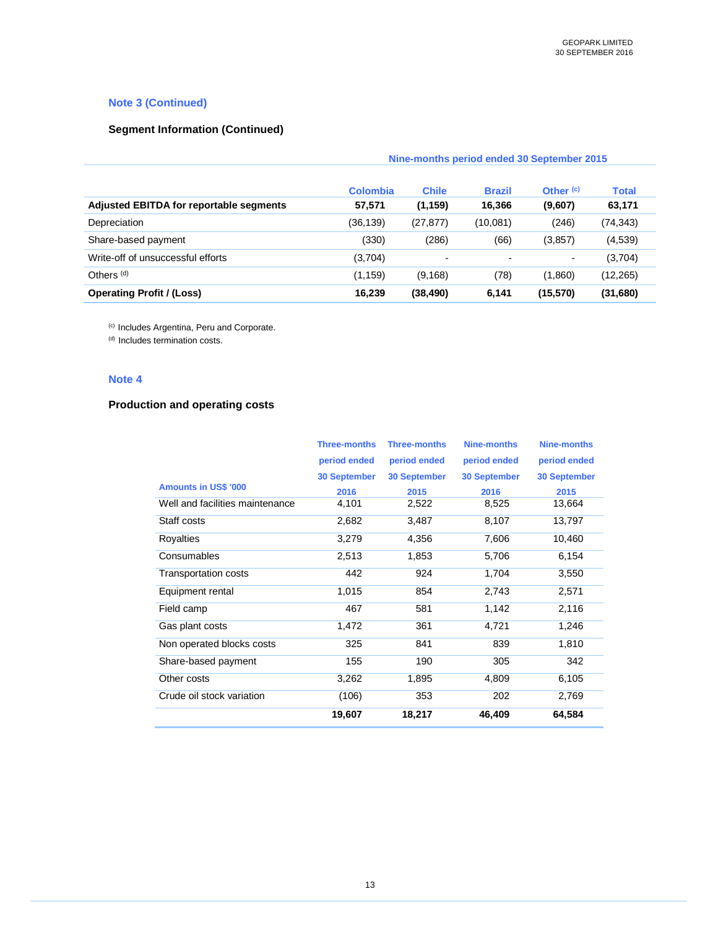### **Note 3 (Continued)**

# **Segment Information (Continued)**

|                                                | Nine-months period ended 30 September 2015 |                          |                          |                      |              |
|------------------------------------------------|--------------------------------------------|--------------------------|--------------------------|----------------------|--------------|
|                                                | <b>Colombia</b>                            | <b>Chile</b>             | <b>Brazil</b>            | Other <sup>(c)</sup> | <b>Total</b> |
| <b>Adjusted EBITDA for reportable segments</b> | 57,571                                     | (1, 159)                 | 16,366                   | (9,607)              | 63,171       |
| Depreciation                                   | (36,139)                                   | (27, 877)                | (10,081)                 | (246)                | (74, 343)    |
| Share-based payment                            | (330)                                      | (286)                    | (66)                     | (3, 857)             | (4,539)      |
| Write-off of unsuccessful efforts              | (3,704)                                    | $\overline{\phantom{a}}$ | $\overline{\phantom{0}}$ | ۰                    | (3,704)      |
| Others <sup>(d)</sup>                          | (1, 159)                                   | (9, 168)                 | (78)                     | (1,860)              | (12, 265)    |
| <b>Operating Profit / (Loss)</b>               | 16,239                                     | (38, 490)                | 6,141                    | (15, 570)            | (31, 680)    |

(c) Includes Argentina, Peru and Corporate.

(d) Includes termination costs.

### **Note 4**

### **Production and operating costs**

|                                 | <b>Three-months</b> | <b>Three-months</b> | <b>Nine-months</b>  | <b>Nine-months</b>  |
|---------------------------------|---------------------|---------------------|---------------------|---------------------|
|                                 | period ended        | period ended        | period ended        | period ended        |
|                                 | <b>30 September</b> | <b>30 September</b> | <b>30 September</b> | <b>30 September</b> |
| <b>Amounts in US\$ '000</b>     | 2016                | 2015                | 2016                | 2015                |
| Well and facilities maintenance | 4,101               | 2,522               | 8,525               | 13,664              |
| Staff costs                     | 2,682               | 3,487               | 8,107               | 13,797              |
| Royalties                       | 3,279               | 4,356               | 7,606               | 10,460              |
| Consumables                     | 2,513               | 1,853               | 5,706               | 6,154               |
| <b>Transportation costs</b>     | 442                 | 924                 | 1,704               | 3,550               |
| Equipment rental                | 1,015               | 854                 | 2,743               | 2,571               |
| Field camp                      | 467                 | 581                 | 1,142               | 2,116               |
| Gas plant costs                 | 1,472               | 361                 | 4,721               | 1,246               |
| Non operated blocks costs       | 325                 | 841                 | 839                 | 1,810               |
| Share-based payment             | 155                 | 190                 | 305                 | 342                 |
| Other costs                     | 3,262               | 1,895               | 4,809               | 6,105               |
| Crude oil stock variation       | (106)               | 353                 | 202                 | 2,769               |
|                                 | 19,607              | 18,217              | 46,409              | 64,584              |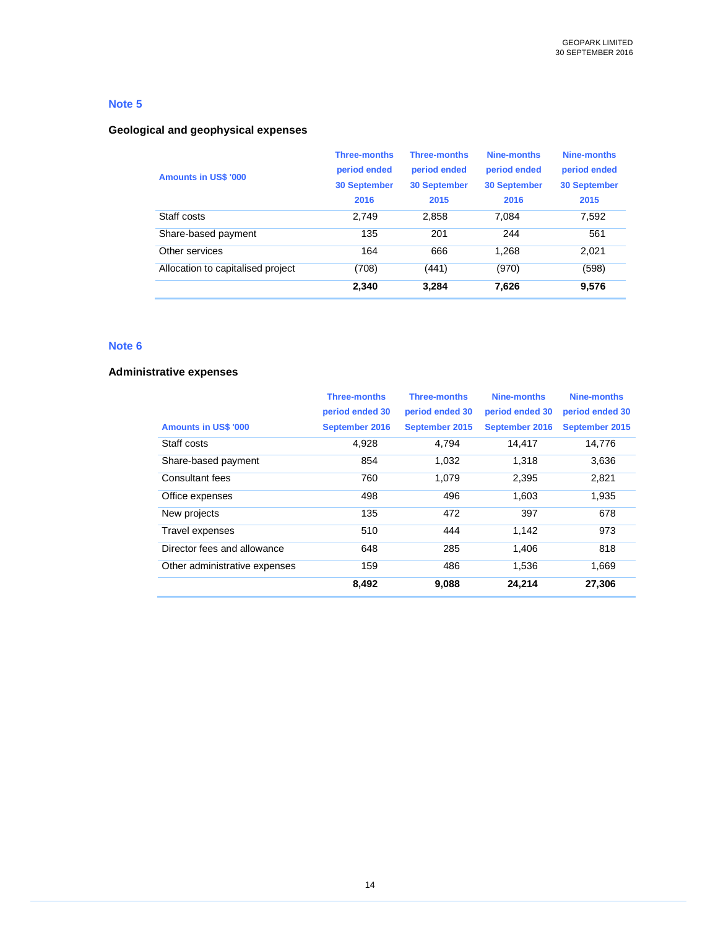### **Geological and geophysical expenses**

| <b>Amounts in US\$ '000</b>       | <b>Three-months</b><br>period ended<br><b>30 September</b><br>2016 | <b>Three-months</b><br>period ended<br><b>30 September</b><br>2015 | Nine-months<br>period ended<br><b>30 September</b><br>2016 | Nine-months<br>period ended<br><b>30 September</b><br>2015 |
|-----------------------------------|--------------------------------------------------------------------|--------------------------------------------------------------------|------------------------------------------------------------|------------------------------------------------------------|
| Staff costs                       | 2.749                                                              | 2,858                                                              | 7.084                                                      | 7,592                                                      |
| Share-based payment               | 135                                                                | 201                                                                | 244                                                        | 561                                                        |
| Other services                    | 164                                                                | 666                                                                | 1.268                                                      | 2.021                                                      |
| Allocation to capitalised project | (708)                                                              | (441)                                                              | (970)                                                      | (598)                                                      |
|                                   | 2.340                                                              | 3,284                                                              | 7.626                                                      | 9.576                                                      |

### **Note 6**

### **Administrative expenses**

|                               | <b>Three-months</b> | <b>Three-months</b> | <b>Nine-months</b> | Nine-months     |
|-------------------------------|---------------------|---------------------|--------------------|-----------------|
|                               | period ended 30     | period ended 30     | period ended 30    | period ended 30 |
| <b>Amounts in US\$ '000</b>   | September 2016      | September 2015      | September 2016     | September 2015  |
| Staff costs                   | 4,928               | 4,794               | 14.417             | 14,776          |
| Share-based payment           | 854                 | 1.032               | 1.318              | 3,636           |
| Consultant fees               | 760                 | 1.079               | 2,395              | 2,821           |
| Office expenses               | 498                 | 496                 | 1.603              | 1,935           |
| New projects                  | 135                 | 472                 | 397                | 678             |
| Travel expenses               | 510                 | 444                 | 1.142              | 973             |
| Director fees and allowance   | 648                 | 285                 | 1.406              | 818             |
| Other administrative expenses | 159                 | 486                 | 1.536              | 1.669           |
|                               | 8,492               | 9,088               | 24,214             | 27,306          |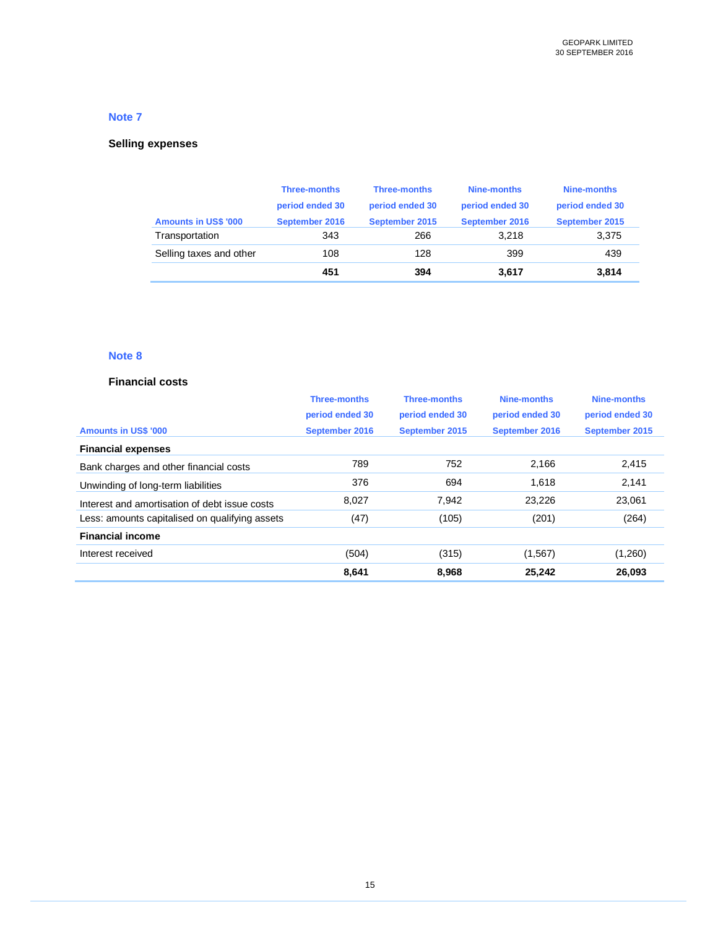# **Selling expenses**

|                             | <b>Three-months</b> | <b>Three-months</b> | Nine-months     | Nine-months     |
|-----------------------------|---------------------|---------------------|-----------------|-----------------|
|                             | period ended 30     | period ended 30     | period ended 30 | period ended 30 |
| <b>Amounts in US\$ '000</b> | September 2016      | September 2015      | September 2016  | September 2015  |
| Transportation              | 343                 | 266                 | 3.218           | 3,375           |
| Selling taxes and other     | 108                 | 128                 | 399             | 439             |
|                             | 451                 | 394                 | 3,617           | 3,814           |

# **Note 8**

### **Financial costs**

|                                                | <b>Three-months</b> | <b>Three-months</b> | Nine-months     | Nine-months     |
|------------------------------------------------|---------------------|---------------------|-----------------|-----------------|
|                                                | period ended 30     | period ended 30     | period ended 30 | period ended 30 |
| <b>Amounts in US\$ '000</b>                    | September 2016      | September 2015      | September 2016  | September 2015  |
| <b>Financial expenses</b>                      |                     |                     |                 |                 |
| Bank charges and other financial costs         | 789                 | 752                 | 2.166           | 2,415           |
| Unwinding of long-term liabilities             | 376                 | 694                 | 1.618           | 2,141           |
| Interest and amortisation of debt issue costs  | 8,027               | 7,942               | 23,226          | 23,061          |
| Less: amounts capitalised on qualifying assets | (47)                | (105)               | (201)           | (264)           |
| <b>Financial income</b>                        |                     |                     |                 |                 |
| Interest received                              | (504)               | (315)               | (1, 567)        | (1,260)         |
|                                                | 8,641               | 8,968               | 25,242          | 26,093          |
|                                                |                     |                     |                 |                 |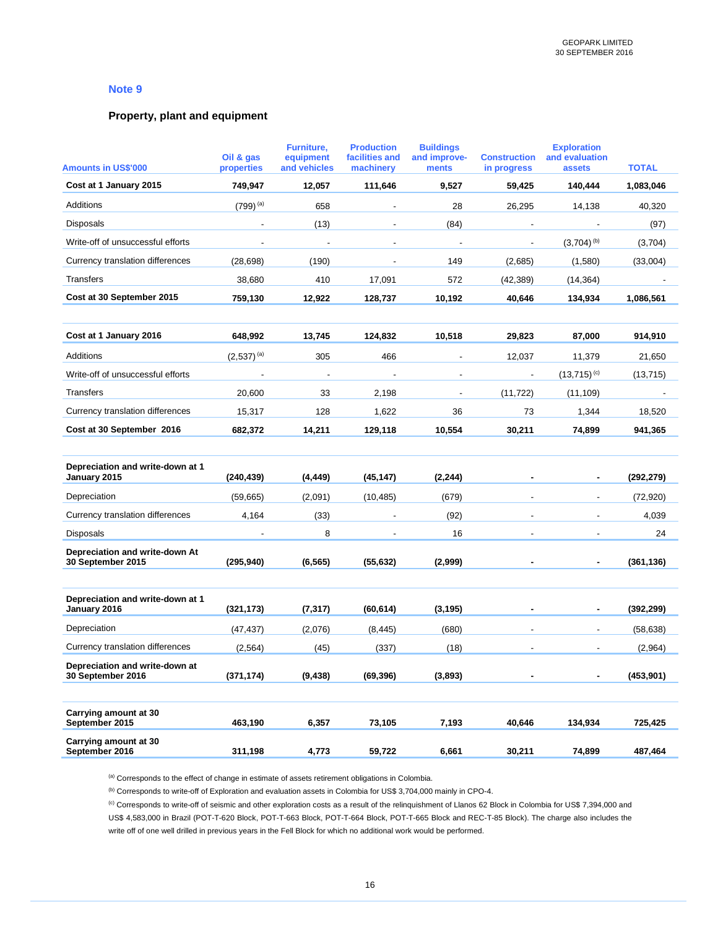### **Property, plant and equipment**

| <b>Amounts in US\$'000</b>                          | Oil & gas<br>properties | Furniture,<br>equipment<br>and vehicles | <b>Production</b><br>facilities and<br>machinery | <b>Buildings</b><br>and improve-<br>ments | <b>Construction</b><br>in progress | <b>Exploration</b><br>and evaluation<br>assets | <b>TOTAL</b> |
|-----------------------------------------------------|-------------------------|-----------------------------------------|--------------------------------------------------|-------------------------------------------|------------------------------------|------------------------------------------------|--------------|
| Cost at 1 January 2015                              | 749,947                 | 12,057                                  | 111,646                                          | 9,527                                     | 59,425                             | 140,444                                        | 1,083,046    |
| Additions                                           | $(799)^{(a)}$           | 658                                     | $\overline{\phantom{a}}$                         | 28                                        | 26,295                             | 14,138                                         | 40,320       |
| Disposals                                           |                         | (13)                                    |                                                  | (84)                                      |                                    |                                                | (97)         |
| Write-off of unsuccessful efforts                   | $\blacksquare$          | $\blacksquare$                          | $\blacksquare$                                   | $\overline{\phantom{a}}$                  | $\overline{\phantom{a}}$           | $(3,704)$ <sup>(b)</sup>                       | (3,704)      |
| Currency translation differences                    | (28, 698)               | (190)                                   | $\blacksquare$                                   | 149                                       | (2,685)                            | (1,580)                                        | (33,004)     |
| Transfers                                           | 38,680                  | 410                                     | 17,091                                           | 572                                       | (42, 389)                          | (14, 364)                                      |              |
| Cost at 30 September 2015                           | 759,130                 | 12,922                                  | 128,737                                          | 10,192                                    | 40,646                             | 134,934                                        | 1,086,561    |
|                                                     |                         |                                         |                                                  |                                           |                                    |                                                |              |
| Cost at 1 January 2016                              | 648,992                 | 13,745                                  | 124,832                                          | 10,518                                    | 29,823                             | 87,000                                         | 914,910      |
| Additions                                           | $(2,537)^{(a)}$         | 305                                     | 466                                              | $\overline{\phantom{a}}$                  | 12,037                             | 11,379                                         | 21,650       |
| Write-off of unsuccessful efforts                   |                         | $\overline{\phantom{a}}$                |                                                  | $\overline{\phantom{a}}$                  | $\overline{\phantom{a}}$           | $(13,715)$ <sup>(c)</sup>                      | (13, 715)    |
| Transfers                                           | 20,600                  | 33                                      | 2,198                                            | $\overline{\phantom{a}}$                  | (11, 722)                          | (11, 109)                                      |              |
| Currency translation differences                    | 15,317                  | 128                                     | 1,622                                            | 36                                        | 73                                 | 1,344                                          | 18,520       |
| Cost at 30 September 2016                           | 682,372                 | 14,211                                  | 129,118                                          | 10,554                                    | 30,211                             | 74,899                                         | 941,365      |
|                                                     |                         |                                         |                                                  |                                           |                                    |                                                |              |
| Depreciation and write-down at 1<br>January 2015    | (240, 439)              | (4, 449)                                | (45, 147)                                        | (2, 244)                                  |                                    |                                                | (292, 279)   |
| Depreciation                                        | (59,665)                | (2,091)                                 | (10, 485)                                        | (679)                                     | $\overline{a}$                     | $\overline{\phantom{a}}$                       | (72, 920)    |
| Currency translation differences                    | 4,164                   | (33)                                    |                                                  | (92)                                      |                                    |                                                | 4,039        |
| <b>Disposals</b>                                    |                         | 8                                       |                                                  | 16                                        |                                    |                                                | 24           |
| Depreciation and write-down At<br>30 September 2015 | (295, 940)              | (6, 565)                                | (55, 632)                                        | (2,999)                                   |                                    |                                                | (361, 136)   |
|                                                     |                         |                                         |                                                  |                                           |                                    |                                                |              |
| Depreciation and write-down at 1<br>January 2016    | (321, 173)              | (7, 317)                                | (60, 614)                                        | (3, 195)                                  |                                    |                                                | (392, 299)   |
| Depreciation                                        | (47, 437)               | (2,076)                                 | (8, 445)                                         | (680)                                     |                                    | $\overline{\phantom{a}}$                       | (58, 638)    |
| Currency translation differences                    | (2, 564)                | (45)                                    | (337)                                            | (18)                                      |                                    | $\blacksquare$                                 | (2,964)      |
| Depreciation and write-down at<br>30 September 2016 | (371, 174)              | (9, 438)                                | (69, 396)                                        | (3,893)                                   |                                    | ۰                                              | (453, 901)   |
| Carrying amount at 30<br>September 2015             | 463,190                 | 6,357                                   | 73,105                                           | 7,193                                     | 40,646                             | 134,934                                        | 725,425      |
| Carrying amount at 30<br>September 2016             | 311,198                 | 4,773                                   | 59,722                                           | 6,661                                     | 30,211                             | 74,899                                         | 487,464      |

(a) Corresponds to the effect of change in estimate of assets retirement obligations in Colombia.

(b) Corresponds to write-off of Exploration and evaluation assets in Colombia for US\$ 3,704,000 mainly in CPO-4.

(c) Corresponds to write-off of seismic and other exploration costs as a result of the relinquishment of Llanos 62 Block in Colombia for US\$ 7,394,000 and US\$ 4,583,000 in Brazil (POT-T-620 Block, POT-T-663 Block, POT-T-664 Block, POT-T-665 Block and REC-T-85 Block). The charge also includes the write off of one well drilled in previous years in the Fell Block for which no additional work would be performed.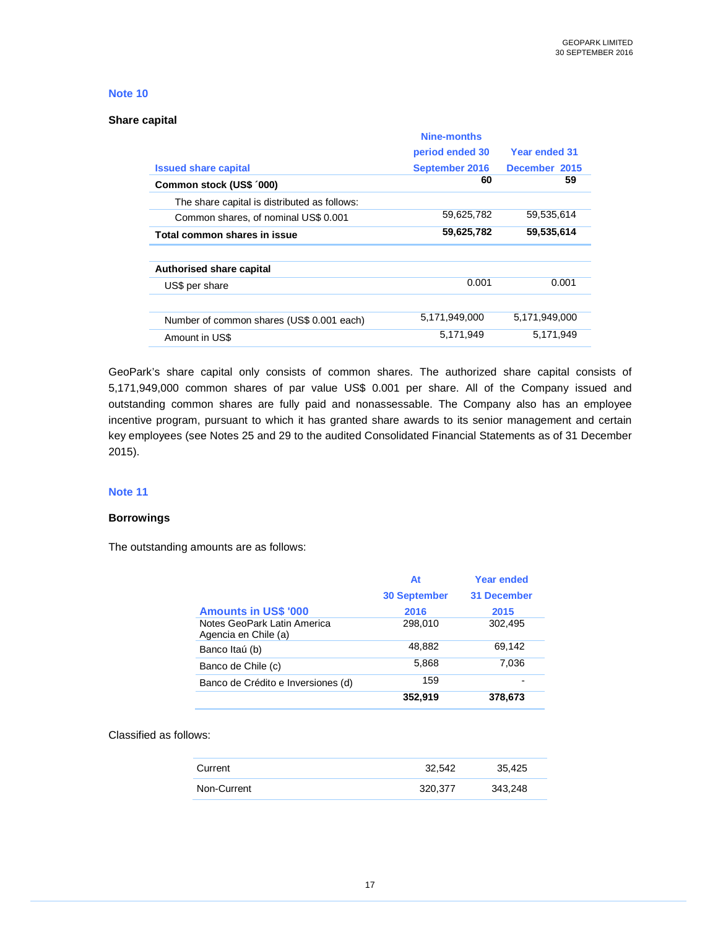#### **Share capital**

|                                              | Nine-months     |               |
|----------------------------------------------|-----------------|---------------|
|                                              | period ended 30 | Year ended 31 |
| <b>Issued share capital</b>                  | September 2016  | December 2015 |
| Common stock (US\$ '000)                     | 60              | 59            |
| The share capital is distributed as follows: |                 |               |
| Common shares, of nominal US\$ 0.001         | 59.625.782      | 59.535.614    |
| Total common shares in issue                 | 59,625,782      | 59,535,614    |
|                                              |                 |               |
| <b>Authorised share capital</b>              |                 |               |
| US\$ per share                               | 0.001           | 0.001         |
|                                              |                 |               |
| Number of common shares (US\$ 0.001 each)    | 5,171,949,000   | 5,171,949,000 |
| Amount in US\$                               | 5.171.949       | 5.171.949     |

GeoPark's share capital only consists of common shares. The authorized share capital consists of 5,171,949,000 common shares of par value US\$ 0.001 per share. All of the Company issued and outstanding common shares are fully paid and nonassessable. The Company also has an employee incentive program, pursuant to which it has granted share awards to its senior management and certain key employees (see Notes 25 and 29 to the audited Consolidated Financial Statements as of 31 December 2015).

#### **Note 11**

#### **Borrowings**

The outstanding amounts are as follows:

|                                                     | At                  | Year ended         |
|-----------------------------------------------------|---------------------|--------------------|
|                                                     | <b>30 September</b> | <b>31 December</b> |
| <b>Amounts in US\$ '000</b>                         | 2016                | 2015               |
| Notes GeoPark Latin America<br>Agencia en Chile (a) | 298,010             | 302,495            |
| Banco Itaú (b)                                      | 48.882              | 69.142             |
| Banco de Chile (c)                                  | 5,868               | 7,036              |
| Banco de Crédito e Inversiones (d)                  | 159                 |                    |
|                                                     | 352,919             | 378,673            |

### Classified as follows:

| Current     | 32.542  | 35.425  |
|-------------|---------|---------|
| Non-Current | 320.377 | 343,248 |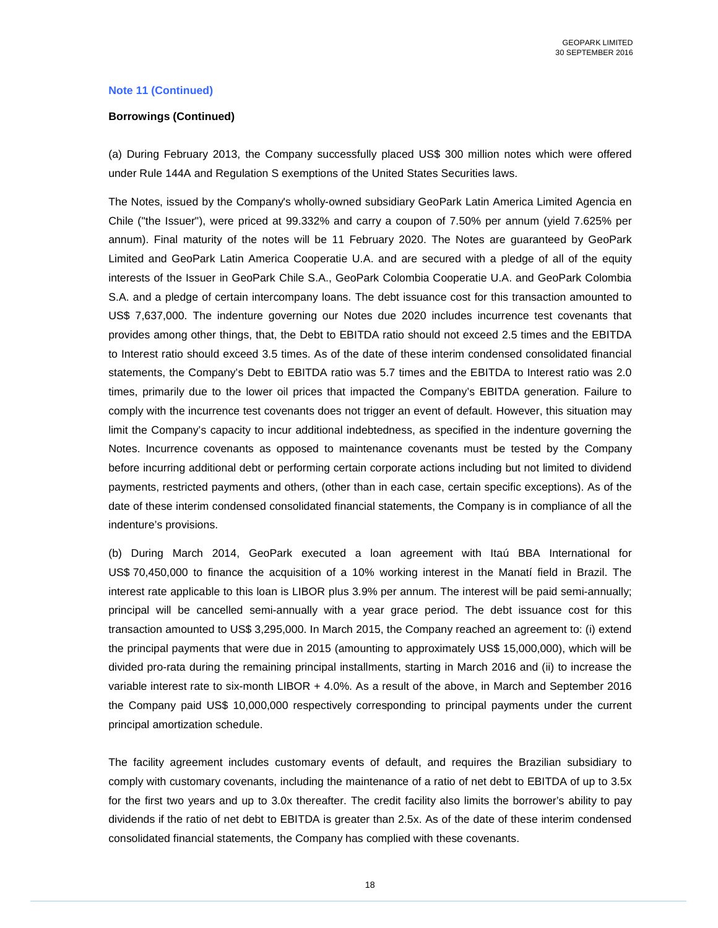### **Note 11 (Continued)**

#### **Borrowings (Continued)**

(a) During February 2013, the Company successfully placed US\$ 300 million notes which were offered under Rule 144A and Regulation S exemptions of the United States Securities laws.

The Notes, issued by the Company's wholly-owned subsidiary GeoPark Latin America Limited Agencia en Chile ("the Issuer"), were priced at 99.332% and carry a coupon of 7.50% per annum (yield 7.625% per annum). Final maturity of the notes will be 11 February 2020. The Notes are guaranteed by GeoPark Limited and GeoPark Latin America Cooperatie U.A. and are secured with a pledge of all of the equity interests of the Issuer in GeoPark Chile S.A., GeoPark Colombia Cooperatie U.A. and GeoPark Colombia S.A. and a pledge of certain intercompany loans. The debt issuance cost for this transaction amounted to US\$ 7,637,000. The indenture governing our Notes due 2020 includes incurrence test covenants that provides among other things, that, the Debt to EBITDA ratio should not exceed 2.5 times and the EBITDA to Interest ratio should exceed 3.5 times. As of the date of these interim condensed consolidated financial statements, the Company's Debt to EBITDA ratio was 5.7 times and the EBITDA to Interest ratio was 2.0 times, primarily due to the lower oil prices that impacted the Company's EBITDA generation. Failure to comply with the incurrence test covenants does not trigger an event of default. However, this situation may limit the Company's capacity to incur additional indebtedness, as specified in the indenture governing the Notes. Incurrence covenants as opposed to maintenance covenants must be tested by the Company before incurring additional debt or performing certain corporate actions including but not limited to dividend payments, restricted payments and others, (other than in each case, certain specific exceptions). As of the date of these interim condensed consolidated financial statements, the Company is in compliance of all the indenture's provisions.

(b) During March 2014, GeoPark executed a loan agreement with Itaú BBA International for US\$ 70,450,000 to finance the acquisition of a 10% working interest in the Manatí field in Brazil. The interest rate applicable to this loan is LIBOR plus 3.9% per annum. The interest will be paid semi-annually; principal will be cancelled semi-annually with a year grace period. The debt issuance cost for this transaction amounted to US\$ 3,295,000. In March 2015, the Company reached an agreement to: (i) extend the principal payments that were due in 2015 (amounting to approximately US\$ 15,000,000), which will be divided pro-rata during the remaining principal installments, starting in March 2016 and (ii) to increase the variable interest rate to six-month LIBOR + 4.0%. As a result of the above, in March and September 2016 the Company paid US\$ 10,000,000 respectively corresponding to principal payments under the current principal amortization schedule.

The facility agreement includes customary events of default, and requires the Brazilian subsidiary to comply with customary covenants, including the maintenance of a ratio of net debt to EBITDA of up to 3.5x for the first two years and up to 3.0x thereafter. The credit facility also limits the borrower's ability to pay dividends if the ratio of net debt to EBITDA is greater than 2.5x. As of the date of these interim condensed consolidated financial statements, the Company has complied with these covenants.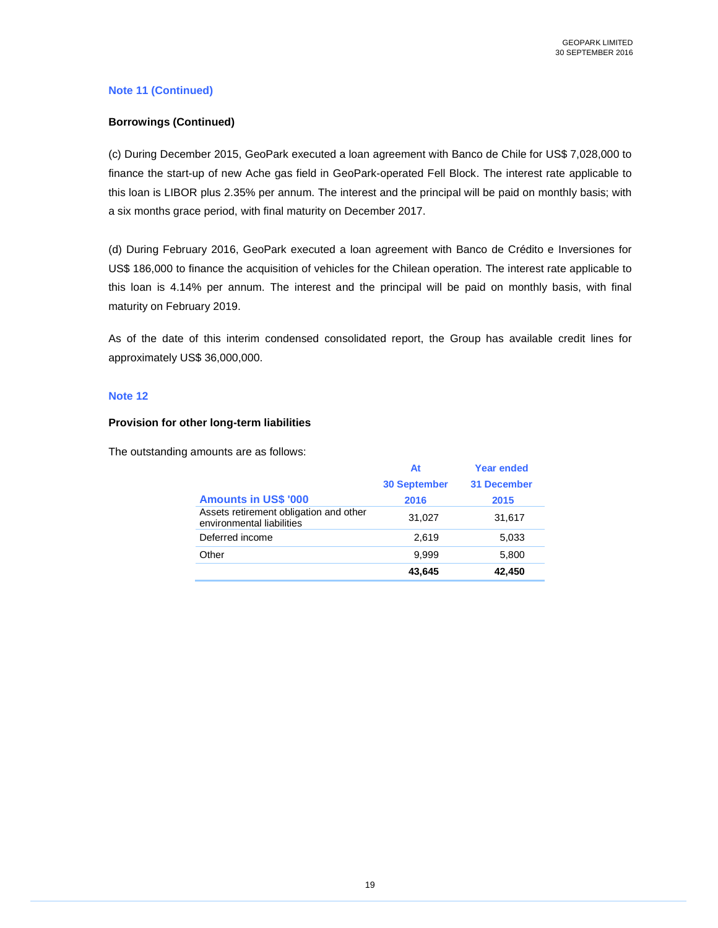## **Note 11 (Continued)**

### **Borrowings (Continued)**

(c) During December 2015, GeoPark executed a loan agreement with Banco de Chile for US\$ 7,028,000 to finance the start-up of new Ache gas field in GeoPark-operated Fell Block. The interest rate applicable to this loan is LIBOR plus 2.35% per annum. The interest and the principal will be paid on monthly basis; with a six months grace period, with final maturity on December 2017.

(d) During February 2016, GeoPark executed a loan agreement with Banco de Crédito e Inversiones for US\$ 186,000 to finance the acquisition of vehicles for the Chilean operation. The interest rate applicable to this loan is 4.14% per annum. The interest and the principal will be paid on monthly basis, with final maturity on February 2019.

As of the date of this interim condensed consolidated report, the Group has available credit lines for approximately US\$ 36,000,000.

### **Note 12**

### **Provision for other long-term liabilities**

The outstanding amounts are as follows:

|                                                                     | At                  | <b>Year ended</b>  |
|---------------------------------------------------------------------|---------------------|--------------------|
|                                                                     | <b>30 September</b> | <b>31 December</b> |
| <b>Amounts in US\$ '000</b>                                         | 2016                | 2015               |
| Assets retirement obligation and other<br>environmental liabilities | 31,027              | 31,617             |
| Deferred income                                                     | 2.619               | 5,033              |
| Other                                                               | 9.999               | 5,800              |
|                                                                     | 43,645              | 42,450             |